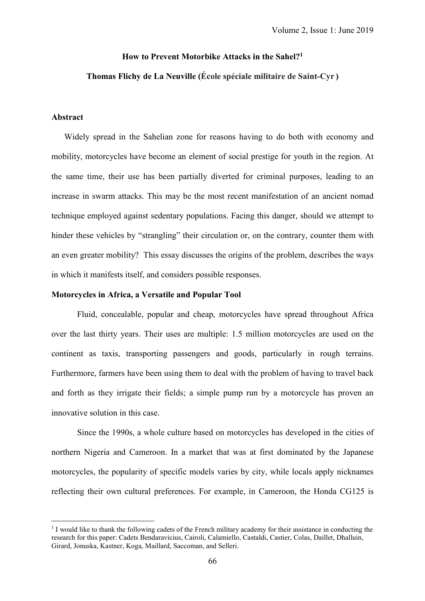# **How to Prevent Motorbike Attacks in the Sahel?1**

# **Thomas Flichy de La Neuville (École spéciale militaire de Saint-Cyr )**

#### **Abstract**

 $\overline{a}$ 

 Widely spread in the Sahelian zone for reasons having to do both with economy and mobility, motorcycles have become an element of social prestige for youth in the region. At the same time, their use has been partially diverted for criminal purposes, leading to an increase in swarm attacks. This may be the most recent manifestation of an ancient nomad technique employed against sedentary populations. Facing this danger, should we attempt to hinder these vehicles by "strangling" their circulation or, on the contrary, counter them with an even greater mobility? This essay discusses the origins of the problem, describes the ways in which it manifests itself, and considers possible responses.

## **Motorcycles in Africa, a Versatile and Popular Tool**

Fluid, concealable, popular and cheap, motorcycles have spread throughout Africa over the last thirty years. Their uses are multiple: 1.5 million motorcycles are used on the continent as taxis, transporting passengers and goods, particularly in rough terrains. Furthermore, farmers have been using them to deal with the problem of having to travel back and forth as they irrigate their fields; a simple pump run by a motorcycle has proven an innovative solution in this case.

Since the 1990s, a whole culture based on motorcycles has developed in the cities of northern Nigeria and Cameroon. In a market that was at first dominated by the Japanese motorcycles, the popularity of specific models varies by city, while locals apply nicknames reflecting their own cultural preferences. For example, in Cameroon, the Honda CG125 is

<sup>&</sup>lt;sup>1</sup> I would like to thank the following cadets of the French military academy for their assistance in conducting the research for this paper: Cadets Bendaravicius, Cairoli, Calamiello, Castaldi, Castier, Colas, Daillet, Dhalluin, Girard, Jonuska, Kastner, Koga, Maillard, Saccoman, and Selleri.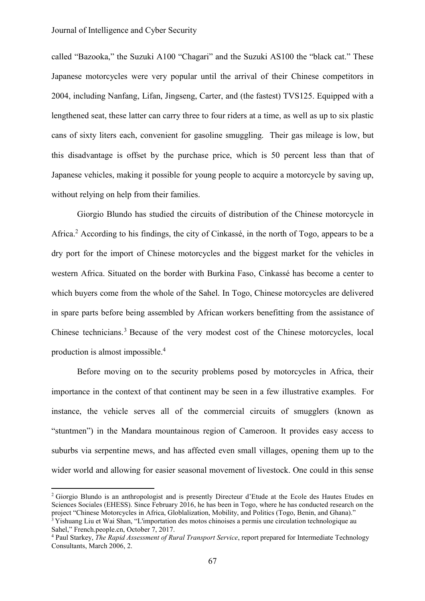called "Bazooka," the Suzuki A100 "Chagari" and the Suzuki AS100 the "black cat." These Japanese motorcycles were very popular until the arrival of their Chinese competitors in 2004, including Nanfang, Lifan, Jingseng, Carter, and (the fastest) TVS125. Equipped with a lengthened seat, these latter can carry three to four riders at a time, as well as up to six plastic cans of sixty liters each, convenient for gasoline smuggling. Their gas mileage is low, but this disadvantage is offset by the purchase price, which is 50 percent less than that of Japanese vehicles, making it possible for young people to acquire a motorcycle by saving up, without relying on help from their families.

Giorgio Blundo has studied the circuits of distribution of the Chinese motorcycle in Africa.2 According to his findings, the city of Cinkassé, in the north of Togo, appears to be a dry port for the import of Chinese motorcycles and the biggest market for the vehicles in western Africa. Situated on the border with Burkina Faso, Cinkassé has become a center to which buyers come from the whole of the Sahel. In Togo, Chinese motorcycles are delivered in spare parts before being assembled by African workers benefitting from the assistance of Chinese technicians.<sup>3</sup> Because of the very modest cost of the Chinese motorcycles, local production is almost impossible.<sup>4</sup>

Before moving on to the security problems posed by motorcycles in Africa, their importance in the context of that continent may be seen in a few illustrative examples. For instance, the vehicle serves all of the commercial circuits of smugglers (known as "stuntmen") in the Mandara mountainous region of Cameroon. It provides easy access to suburbs via serpentine mews, and has affected even small villages, opening them up to the wider world and allowing for easier seasonal movement of livestock. One could in this sense

<sup>2</sup> Giorgio Blundo is an anthropologist and is presently Directeur d'Etude at the Ecole des Hautes Etudes en Sciences Sociales (EHESS). Since February 2016, he has been in Togo, where he has conducted research on the project "Chinese Motorcycles in Africa, Globlalization, Mobility, and Politics (Togo, Benin, and Ghana)." <sup>3</sup> Yishuang Liu et Wai Shan, "L'importation des motos chinoises a permis une circulation technologique au

Sahel," [French.people.cn,](http://french.people.cn/) October 7, 2017.

<sup>4</sup> Paul Starkey, *The Rapid Assessment of Rural Transport Service*, report prepared for Intermediate Technology Consultants, March 2006, 2.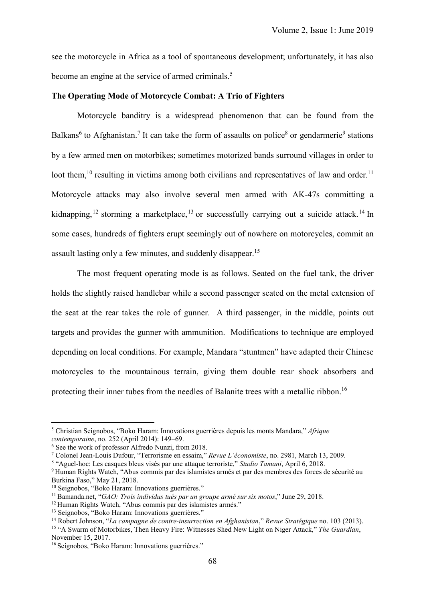see the motorcycle in Africa as a tool of spontaneous development; unfortunately, it has also become an engine at the service of armed criminals.<sup>5</sup>

#### **The Operating Mode of Motorcycle Combat: A Trio of Fighters**

Motorcycle banditry is a widespread phenomenon that can be found from the Balkans<sup>6</sup> to Afghanistan.<sup>7</sup> It can take the form of assaults on police<sup>8</sup> or gendarmerie<sup>9</sup> stations by a few armed men on motorbikes; sometimes motorized bands surround villages in order to loot them,<sup>10</sup> resulting in victims among both civilians and representatives of law and order.<sup>11</sup> Motorcycle attacks may also involve several men armed with AK-47s committing a kidnapping,<sup>12</sup> storming a marketplace,<sup>13</sup> or successfully carrying out a suicide attack.<sup>14</sup> In some cases, hundreds of fighters erupt seemingly out of nowhere on motorcycles, commit an assault lasting only a few minutes, and suddenly disappear.<sup>15</sup>

The most frequent operating mode is as follows. Seated on the fuel tank, the driver holds the slightly raised handlebar while a second passenger seated on the metal extension of the seat at the rear takes the role of gunner. A third passenger, in the middle, points out targets and provides the gunner with ammunition. Modifications to technique are employed depending on local conditions. For example, Mandara "stuntmen" have adapted their Chinese motorcycles to the mountainous terrain, giving them double rear shock absorbers and protecting their inner tubes from the needles of Balanite trees with a metallic ribbon.<sup>16</sup>

<sup>5</sup> Christian Seignobos, "Boko Haram: Innovations guerrières depuis les monts Mandara," *Afrique contemporaine*, no. 252 (April 2014): 149–69.

<sup>6</sup> See the work of professor Alfredo Nunzi, from 2018.

<sup>7</sup> Colonel Jean-Louis Dufour, "Terrorisme en essaim," *Revue L'économiste*, no. 2981, March 13, 2009.

<sup>8</sup> "Aguel-hoc: Les casques bleus visés par une attaque terroriste," *Studio Tamani*, April 6, 2018.

<sup>9</sup> [Human](https://www.hrw.org/fr/report/2018/05/21/le-jour-nous-avons-peur-de-larmee-et-la-nuit-des-djihadistes/abus-commis-par-des) Rights Watch, "Abus commis par des islamistes armés et par des membres des forces de sécurité au Burkina Faso," May 21, 2018.

<sup>&</sup>lt;sup>10</sup> Seignobos, "Boko Haram: Innovations guerrières."

<sup>11</sup> Bamanda.net, "*GAO: Trois individus tués par un groupe armé sur six motos*," June 29, 2018.

<sup>12</sup> [Human](https://www.hrw.org/fr/report/2018/05/21/le-jour-nous-avons-peur-de-larmee-et-la-nuit-des-djihadistes/abus-commis-par-des) Rights Watch, "Abus commis par des islamistes armés."

<sup>13</sup> Seignobos, "Boko Haram: Innovations guerrières."

<sup>14</sup> Robert Johnson, "*La campagne de contre-insurrection en Afghanistan*," *Revue Stratégique* no. 103 (2013).

<sup>15</sup> "A Swarm of Motorbikes, Then Heavy Fire: Witnesses Shed New Light on Niger Attack," *The Guardian*, November 15, 2017.

<sup>&</sup>lt;sup>16</sup> Seignobos, "Boko Haram: Innovations guerrières."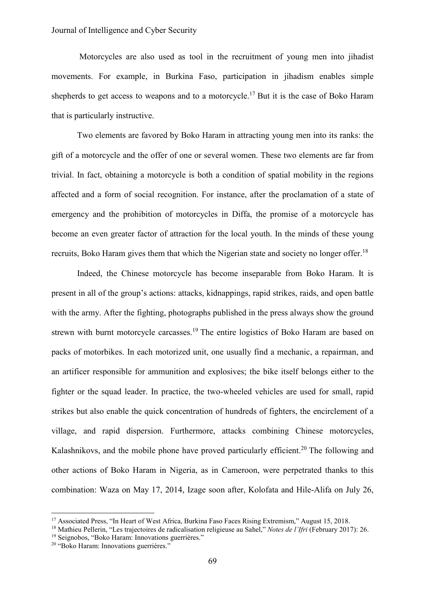Motorcycles are also used as tool in the recruitment of young men into jihadist movements. For example, in Burkina Faso, participation in jihadism enables simple shepherds to get access to weapons and to a motorcycle.<sup>17</sup> But it is the case of Boko Haram that is particularly instructive.

Two elements are favored by Boko Haram in attracting young men into its ranks: the gift of a motorcycle and the offer of one or several women. These two elements are far from trivial. In fact, obtaining a motorcycle is both a condition of spatial mobility in the regions affected and a form of social recognition. For instance, after the proclamation of a state of emergency and the prohibition of motorcycles in Diffa, the promise of a motorcycle has become an even greater factor of attraction for the local youth. In the minds of these young recruits, Boko Haram gives them that which the Nigerian state and society no longer offer.<sup>18</sup>

Indeed, the Chinese motorcycle has become inseparable from Boko Haram. It is present in all of the group's actions: attacks, kidnappings, rapid strikes, raids, and open battle with the army. After the fighting, photographs published in the press always show the ground strewn with burnt motorcycle carcasses.<sup>19</sup> The entire logistics of Boko Haram are based on packs of motorbikes. In each motorized unit, one usually find a mechanic, a repairman, and an artificer responsible for ammunition and explosives; the bike itself belongs either to the fighter or the squad leader. In practice, the two-wheeled vehicles are used for small, rapid strikes but also enable the quick concentration of hundreds of fighters, the encirclement of a village, and rapid dispersion. Furthermore, attacks combining Chinese motorcycles, Kalashnikovs, and the mobile phone have proved particularly efficient.<sup>20</sup> The following and other actions of Boko Haram in Nigeria, as in Cameroon, were perpetrated thanks to this combination: Waza on May 17, 2014, Izage soon after, Kolofata and Hile-Alifa on July 26,

<sup>&</sup>lt;sup>17</sup> Associated Press, "In Heart of West Africa, Burkina Faso Faces Rising Extremism," August 15, 2018.

<sup>18</sup> Mathieu Pellerin, "Les trajectoires de radicalisation religieuse au Sahel," *Notes de l'Ifri* (February 2017): 26.

<sup>19</sup> Seignobos, "Boko Haram: Innovations guerrières."

<sup>20</sup> "Boko Haram: Innovations guerrières."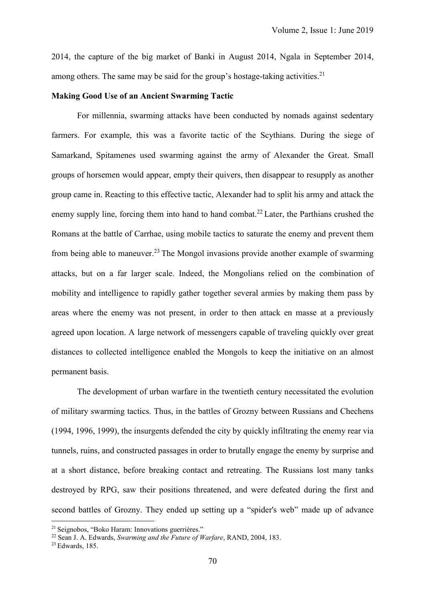2014, the capture of the big market of Banki in August 2014, Ngala in September 2014, among others. The same may be said for the group's hostage-taking activities.<sup>21</sup>

#### **Making Good Use of an Ancient Swarming Tactic**

For millennia, swarming attacks have been conducted by nomads against sedentary farmers. For example, this was a favorite tactic of the Scythians. During the siege of Samarkand, Spitamenes used swarming against the army of Alexander the Great. Small groups of horsemen would appear, empty their quivers, then disappear to resupply as another group came in. Reacting to this effective tactic, Alexander had to split his army and attack the enemy supply line, forcing them into hand to hand combat.<sup>22</sup> Later, the Parthians crushed the Romans at the battle of Carrhae, using mobile tactics to saturate the enemy and prevent them from being able to maneuver.<sup>23</sup> The Mongol invasions provide another example of swarming attacks, but on a far larger scale. Indeed, the Mongolians relied on the combination of mobility and intelligence to rapidly gather together several armies by making them pass by areas where the enemy was not present, in order to then attack en masse at a previously agreed upon location. A large network of messengers capable of traveling quickly over great distances to collected intelligence enabled the Mongols to keep the initiative on an almost permanent basis.

The development of urban warfare in the twentieth century necessitated the evolution of military swarming tactics. Thus, in the battles of Grozny between Russians and Chechens (1994, 1996, 1999), the insurgents defended the city by quickly infiltrating the enemy rear via tunnels, ruins, and constructed passages in order to brutally engage the enemy by surprise and at a short distance, before breaking contact and retreating. The Russians lost many tanks destroyed by RPG, saw their positions threatened, and were defeated during the first and second battles of Grozny. They ended up setting up a "spider's web" made up of advance

<sup>21</sup> Seignobos, "Boko Haram: Innovations guerrières."

<sup>22</sup> Sean J. A. Edwards, *Swarming and the Future of Warfare*, RAND, 2004, 183.

<sup>23</sup> Edwards, 185.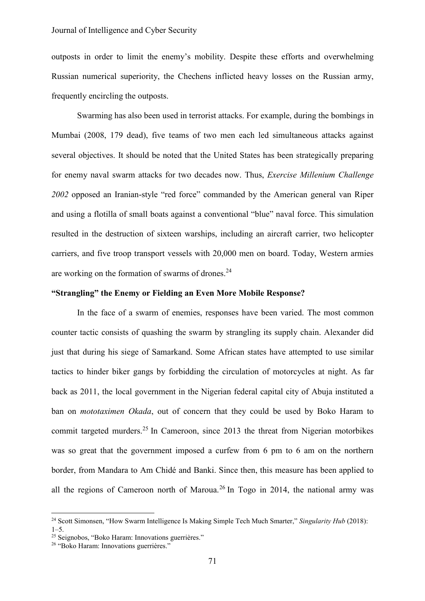# Journal of Intelligence and Cyber Security

outposts in order to limit the enemy's mobility. Despite these efforts and overwhelming Russian numerical superiority, the Chechens inflicted heavy losses on the Russian army, frequently encircling the outposts.

Swarming has also been used in terrorist attacks. For example, during the bombings in Mumbai (2008, 179 dead), five teams of two men each led simultaneous attacks against several objectives. It should be noted that the United States has been strategically preparing for enemy naval swarm attacks for two decades now. Thus, *Exercise Millenium Challenge 2002* opposed an Iranian-style "red force" commanded by the American general van Riper and using a flotilla of small boats against a conventional "blue" naval force. This simulation resulted in the destruction of sixteen warships, including an aircraft carrier, two helicopter carriers, and five troop transport vessels with 20,000 men on board. Today, Western armies are working on the formation of swarms of drones.<sup>24</sup>

# **"Strangling" the Enemy or Fielding an Even More Mobile Response?**

In the face of a swarm of enemies, responses have been varied. The most common counter tactic consists of quashing the swarm by strangling its supply chain. Alexander did just that during his siege of Samarkand. Some African states have attempted to use similar tactics to hinder biker gangs by forbidding the circulation of motorcycles at night. As far back as 2011, the local government in the Nigerian federal capital city of Abuja instituted a ban on *mototaximen Okada*, out of concern that they could be used by Boko Haram to commit targeted murders.<sup>25</sup> In Cameroon, since 2013 the threat from Nigerian motorbikes was so great that the government imposed a curfew from 6 pm to 6 am on the northern border, from Mandara to Am Chidé and Banki. Since then, this measure has been applied to all the regions of Cameroon north of Maroua.<sup>26</sup> In Togo in 2014, the national army was

<sup>24</sup> Scott [Simonsen,](https://singularityhub.com/author/ssimonsen/) "How Swarm Intelligence Is Making Simple Tech Much Smarter," *Singularity Hub* (2018):  $1 - 5$ .

<sup>25</sup> Seignobos, "Boko Haram: Innovations guerrières."

<sup>&</sup>lt;sup>26</sup> "Boko Haram: Innovations guerrières."